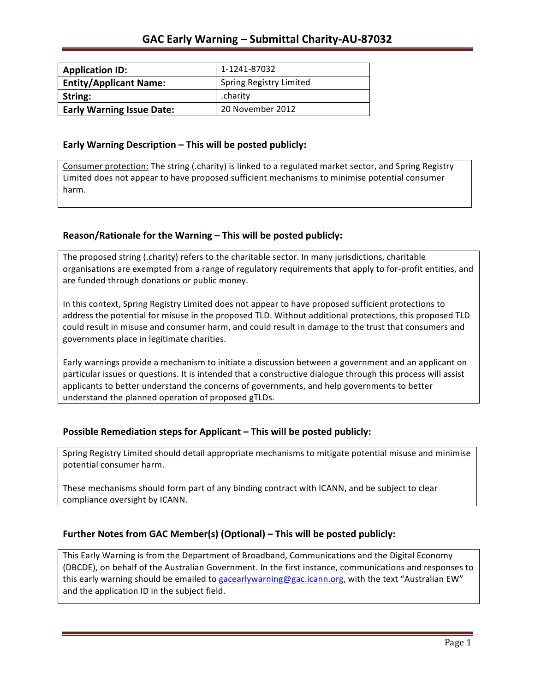| <b>Application ID:</b>           | 1-1241-87032                   |
|----------------------------------|--------------------------------|
| <b>Entity/Applicant Name:</b>    | <b>Spring Registry Limited</b> |
| String:                          | .charity                       |
| <b>Early Warning Issue Date:</b> | 20 November 2012               |

### **Early Warning Description – This will be posted publicly:**

Consumer protection: The string (.charity) is linked to a regulated market sector, and Spring Registry Limited does not appear to have proposed sufficient mechanisms to minimise potential consumer harm.

### **Reason/Rationale for the Warning – This will be posted publicly:**

The proposed string (.charity) refers to the charitable sector. In many jurisdictions, charitable organisations are exempted from a range of regulatory requirements that apply to for-profit entities, and are funded through donations or public money.

In this context, Spring Registry Limited does not appear to have proposed sufficient protections to address the potential for misuse in the proposed TLD. Without additional protections, this proposed TLD could result in misuse and consumer harm, and could result in damage to the trust that consumers and governments place in legitimate charities.

Early warnings provide a mechanism to initiate a discussion between a government and an applicant on particular issues or questions. It is intended that a constructive dialogue through this process will assist applicants to better understand the concerns of governments, and help governments to better understand the planned operation of proposed gTLDs.

### **Possible Remediation steps for Applicant – This will be posted publicly:**

Spring Registry Limited should detail appropriate mechanisms to mitigate potential misuse and minimise potential consumer harm.

These mechanisms should form part of any binding contract with ICANN, and be subject to clear compliance oversight by ICANN.

### **Further Notes from GAC Member(s) (Optional) – This will be posted publicly:**

This Early Warning is from the Department of Broadband, Communications and the Digital Economy (DBCDE), on behalf of the Australian Government. In the first instance, communications and responses to this early warning should be emailed to gacearlywarning@gac.icann.org, with the text "Australian EW" and the application ID in the subject field.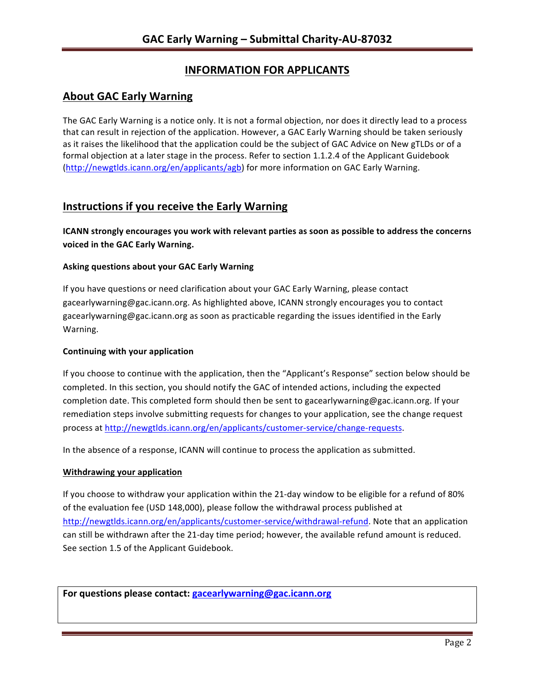# **INFORMATION FOR APPLICANTS**

## **About GAC Early Warning**

The GAC Early Warning is a notice only. It is not a formal objection, nor does it directly lead to a process that can result in rejection of the application. However, a GAC Early Warning should be taken seriously as it raises the likelihood that the application could be the subject of GAC Advice on New gTLDs or of a formal objection at a later stage in the process. Refer to section 1.1.2.4 of the Applicant Guidebook (http://newgtlds.icann.org/en/applicants/agb) for more information on GAC Early Warning.

## **Instructions if you receive the Early Warning**

**ICANN** strongly encourages you work with relevant parties as soon as possible to address the concerns **voiced in the GAC Early Warning.** 

### **Asking questions about your GAC Early Warning**

If you have questions or need clarification about your GAC Early Warning, please contact gacearlywarning@gac.icann.org. As highlighted above, ICANN strongly encourages you to contact gacearlywarning@gac.icann.org as soon as practicable regarding the issues identified in the Early Warning. 

### **Continuing with your application**

If you choose to continue with the application, then the "Applicant's Response" section below should be completed. In this section, you should notify the GAC of intended actions, including the expected completion date. This completed form should then be sent to gacearlywarning@gac.icann.org. If your remediation steps involve submitting requests for changes to your application, see the change request process at http://newgtlds.icann.org/en/applicants/customer-service/change-requests.

In the absence of a response, ICANN will continue to process the application as submitted.

### **Withdrawing your application**

If you choose to withdraw your application within the 21-day window to be eligible for a refund of 80% of the evaluation fee (USD 148,000), please follow the withdrawal process published at http://newgtlds.icann.org/en/applicants/customer-service/withdrawal-refund. Note that an application can still be withdrawn after the 21-day time period; however, the available refund amount is reduced. See section 1.5 of the Applicant Guidebook.

For questions please contact: gacearlywarning@gac.icann.org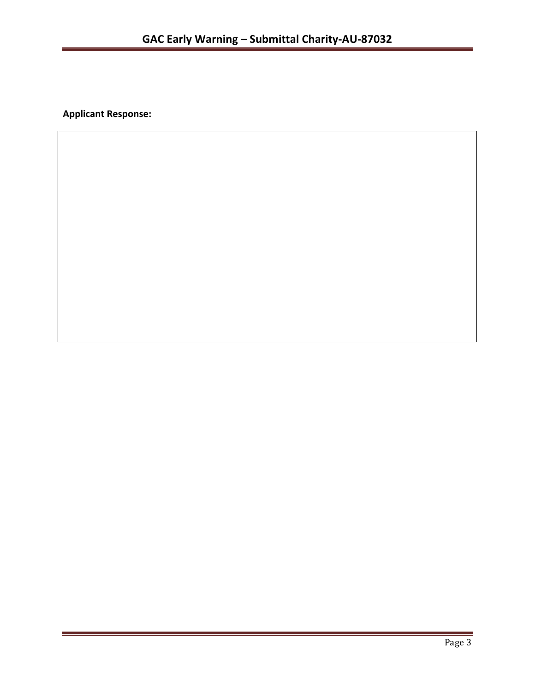**Applicant Response:**